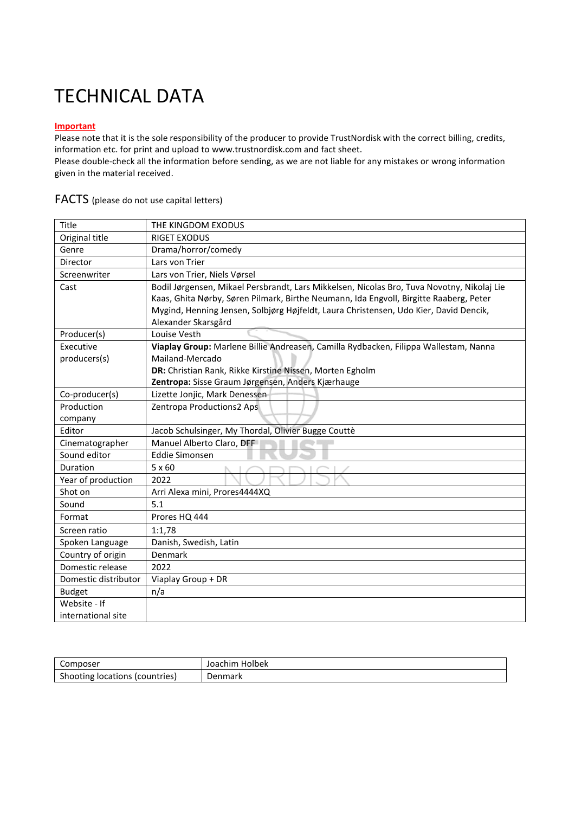#### **Important**

Please note that it is the sole responsibility of the producer to provide TrustNordisk with the correct billing, credits, information etc. for print and upload to www.trustnordisk.com and fact sheet.

Please double-check all the information before sending, as we are not liable for any mistakes or wrong information given in the material received.

| Title                | THE KINGDOM EXODUS                                                                                                                                                                                                                                                                                   |
|----------------------|------------------------------------------------------------------------------------------------------------------------------------------------------------------------------------------------------------------------------------------------------------------------------------------------------|
| Original title       | <b>RIGET EXODUS</b>                                                                                                                                                                                                                                                                                  |
| Genre                | Drama/horror/comedy                                                                                                                                                                                                                                                                                  |
| Director             | Lars von Trier                                                                                                                                                                                                                                                                                       |
| Screenwriter         | Lars von Trier, Niels Vørsel                                                                                                                                                                                                                                                                         |
| Cast                 | Bodil Jørgensen, Mikael Persbrandt, Lars Mikkelsen, Nicolas Bro, Tuva Novotny, Nikolaj Lie<br>Kaas, Ghita Nørby, Søren Pilmark, Birthe Neumann, Ida Engvoll, Birgitte Raaberg, Peter<br>Mygind, Henning Jensen, Solbjørg Højfeldt, Laura Christensen, Udo Kier, David Dencik,<br>Alexander Skarsgård |
| Producer(s)          | Louise Vesth                                                                                                                                                                                                                                                                                         |
| Executive            | Viaplay Group: Marlene Billie Andreasen, Camilla Rydbacken, Filippa Wallestam, Nanna                                                                                                                                                                                                                 |
| producers(s)         | Mailand-Mercado                                                                                                                                                                                                                                                                                      |
|                      | DR: Christian Rank, Rikke Kirstine Nissen, Morten Egholm                                                                                                                                                                                                                                             |
|                      | Zentropa: Sisse Graum Jørgensen, Anders Kjærhauge                                                                                                                                                                                                                                                    |
| Co-producer(s)       | Lizette Jonjic, Mark Denessen                                                                                                                                                                                                                                                                        |
| Production           | Zentropa Productions2 Aps                                                                                                                                                                                                                                                                            |
| company              |                                                                                                                                                                                                                                                                                                      |
| Editor               | Jacob Schulsinger, My Thordal, Olivier Bugge Couttè                                                                                                                                                                                                                                                  |
| Cinematographer      | Manuel Alberto Claro, DFF                                                                                                                                                                                                                                                                            |
| Sound editor         | <b>Eddie Simonsen</b>                                                                                                                                                                                                                                                                                |
| Duration             | $5 \times 60$                                                                                                                                                                                                                                                                                        |
| Year of production   | 2022                                                                                                                                                                                                                                                                                                 |
| Shot on              | Arri Alexa mini, Prores4444XQ                                                                                                                                                                                                                                                                        |
| Sound                | 5.1                                                                                                                                                                                                                                                                                                  |
| Format               | Prores HQ 444                                                                                                                                                                                                                                                                                        |
| Screen ratio         | 1:1,78                                                                                                                                                                                                                                                                                               |
| Spoken Language      | Danish, Swedish, Latin                                                                                                                                                                                                                                                                               |
| Country of origin    | Denmark                                                                                                                                                                                                                                                                                              |
| Domestic release     | 2022                                                                                                                                                                                                                                                                                                 |
| Domestic distributor | Viaplay Group + DR                                                                                                                                                                                                                                                                                   |
| <b>Budget</b>        | n/a                                                                                                                                                                                                                                                                                                  |
| Website - If         |                                                                                                                                                                                                                                                                                                      |
| international site   |                                                                                                                                                                                                                                                                                                      |

### FACTS (please do not use capital letters)

| $\overline{\phantom{a}}$            | Holbek  |
|-------------------------------------|---------|
| Composer                            | Joachim |
| Shooting locations<br>: (countries) | )enmark |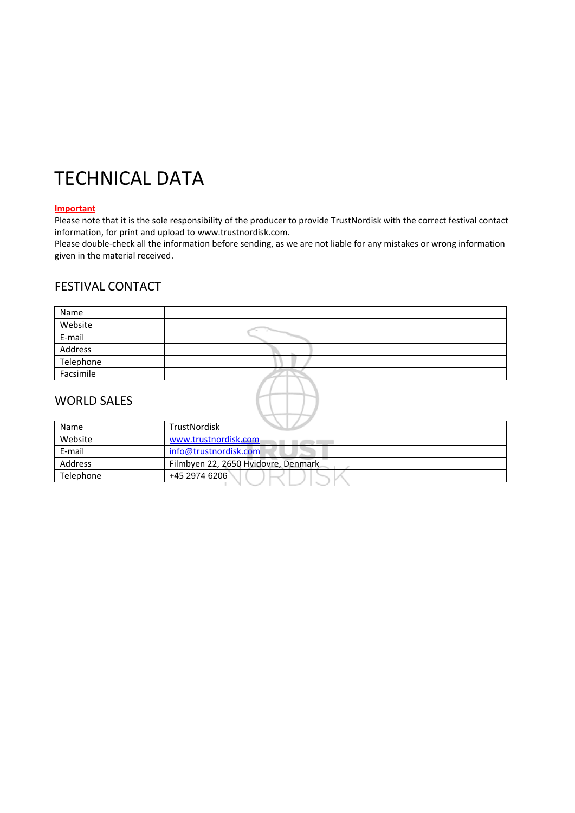#### **Important**

Please note that it is the sole responsibility of the producer to provide TrustNordisk with the correct festival contact information, for print and upload to www.trustnordisk.com.

Please double-check all the information before sending, as we are not liable for any mistakes or wrong information given in the material received.

## FESTIVAL CONTACT

| Name               |  |
|--------------------|--|
| Website            |  |
| E-mail             |  |
| Address            |  |
| Telephone          |  |
| Facsimile          |  |
| <b>WORLD SALES</b> |  |

### WORLD SALES

| Name      | <b>TrustNordisk</b>                 |  |
|-----------|-------------------------------------|--|
| Website   | www.trustnordisk.com                |  |
| E-mail    | info@trustnordisk.com               |  |
| Address   | Filmbyen 22, 2650 Hvidovre, Denmark |  |
| Telephone | +45 2974 6206                       |  |
|           |                                     |  |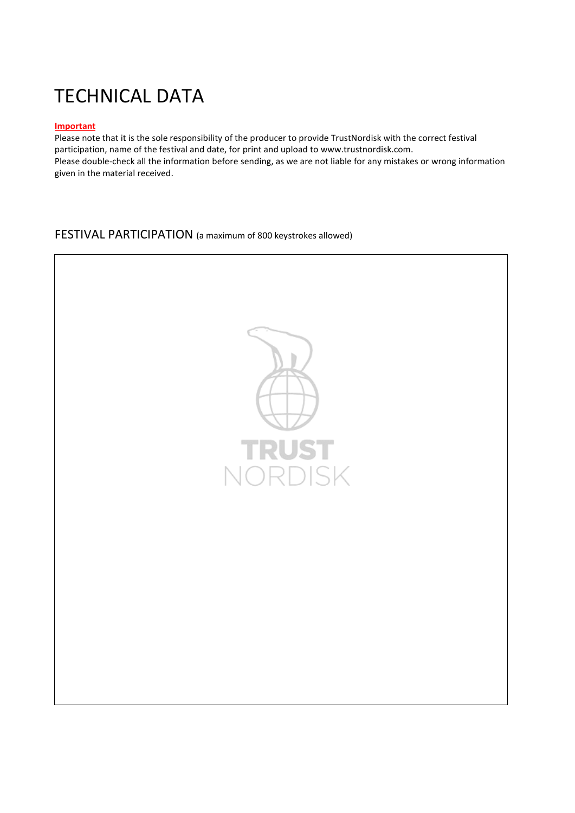### **Important**

Please note that it is the sole responsibility of the producer to provide TrustNordisk with the correct festival participation, name of the festival and date, for print and upload to www.trustnordisk.com. Please double-check all the information before sending, as we are not liable for any mistakes or wrong information given in the material received.

FESTIVAL PARTICIPATION (a maximum of 800 keystrokes allowed)